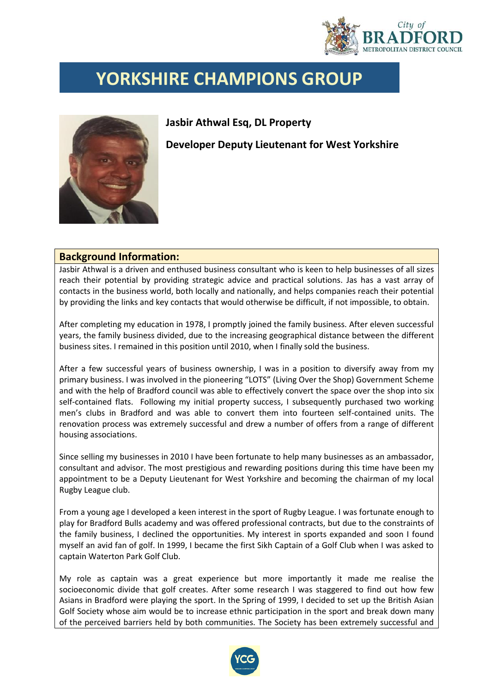

## **YORKSHIRE CHAMPIONS GROUP**



## **Jasbir Athwal Esq, DL Property**

**Developer Deputy Lieutenant for West Yorkshire**

## **Background Information:**

Jasbir Athwal is a driven and enthused business consultant who is keen to help businesses of all sizes reach their potential by providing strategic advice and practical solutions. Jas has a vast array of contacts in the business world, both locally and nationally, and helps companies reach their potential by providing the links and key contacts that would otherwise be difficult, if not impossible, to obtain.

After completing my education in 1978, I promptly joined the family business. After eleven successful years, the family business divided, due to the increasing geographical distance between the different business sites. I remained in this position until 2010, when I finally sold the business.

After a few successful years of business ownership, I was in a position to diversify away from my primary business. I was involved in the pioneering "LOTS" (Living Over the Shop) Government Scheme and with the help of Bradford council was able to effectively convert the space over the shop into six self-contained flats. Following my initial property success, I subsequently purchased two working men's clubs in Bradford and was able to convert them into fourteen self-contained units. The renovation process was extremely successful and drew a number of offers from a range of different housing associations.

Since selling my businesses in 2010 I have been fortunate to help many businesses as an ambassador, consultant and advisor. The most prestigious and rewarding positions during this time have been my appointment to be a Deputy Lieutenant for West Yorkshire and becoming the chairman of my local Rugby League club.

From a young age I developed a keen interest in the sport of Rugby League. I was fortunate enough to play for Bradford Bulls academy and was offered professional contracts, but due to the constraints of the family business, I declined the opportunities. My interest in sports expanded and soon I found myself an avid fan of golf. In 1999, I became the first Sikh Captain of a Golf Club when I was asked to captain Waterton Park Golf Club.

My role as captain was a great experience but more importantly it made me realise the socioeconomic divide that golf creates. After some research I was staggered to find out how few Asians in Bradford were playing the sport. In the Spring of 1999, I decided to set up the British Asian Golf Society whose aim would be to increase ethnic participation in the sport and break down many of the perceived barriers held by both communities. The Society has been extremely successful and